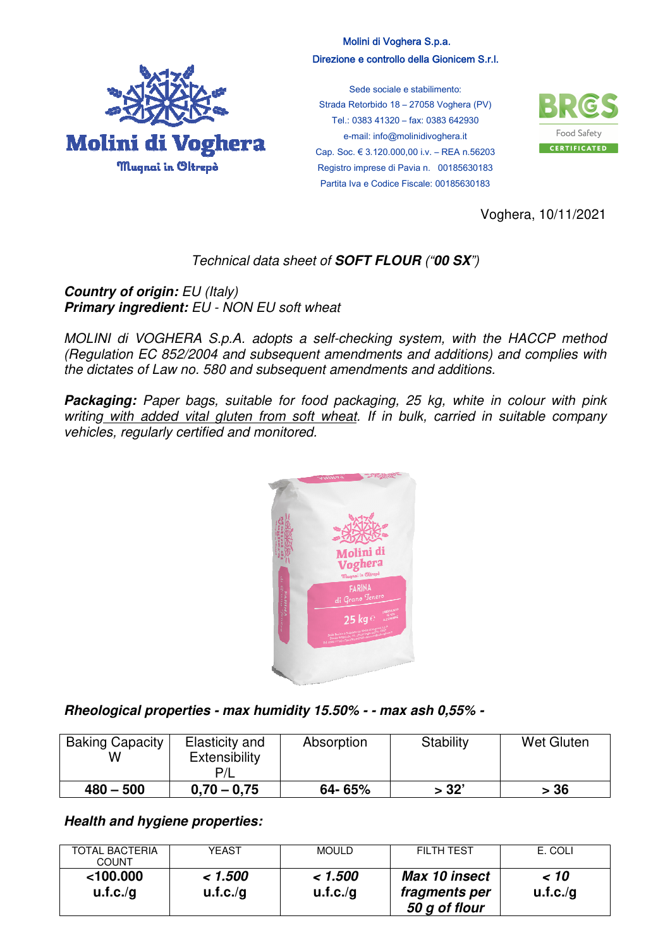

## Molini di Voghera S.p.a. Direzione e controllo della Gionicem S.r.l.

Sede sociale e stabilimento: Strada Retorbido 18 – 27058 Voghera (PV) Tel.: 0383 41320 – fax: 0383 642930 e-mail: info@molinidivoghera.it Cap. Soc. € 3.120.000,00 i.v. – REA n.56203 Registro imprese di Pavia n. 00185630183 Partita Iva e Codice Fiscale: 00185630183



Voghera, 10/11/2021

## Technical data sheet of *SOFT FLOUR* ("*00 SX*")

**Country of origin: EU (Italy)** *Primary ingredient:* EU - NON EU soft wheat

MOLINI di VOGHERA S.p.A. adopts a self-checking system, with the HACCP method (Regulation EC 852/2004 and subsequent amendments and additions) and complies with the dictates of Law no. 580 and subsequent amendments and additions.

**Packaging:** Paper bags, suitable for food packaging, 25 kg, white in colour with pink writing with added vital gluten from soft wheat. If in bulk, carried in suitable company vehicles, regularly certified and monitored.



*Rheological properties - max humidity 15.50% - - max ash 0,55% -* 

| <b>Baking Capacity</b><br>w | Elasticity and<br>Extensibility | Absorption | Stability | <b>Wet Gluten</b> |
|-----------------------------|---------------------------------|------------|-----------|-------------------|
| $480 - 500$                 | $0.70 - 0.75$                   | 64-65%     | > 32'     | > 36              |

*Health and hygiene properties:* 

| <b>TOTAL BACTERIA</b><br>COUNT | YEAST               | <b>MOULD</b>        | <b>FILTH TEST</b>                               | E. COLI         |
|--------------------------------|---------------------|---------------------|-------------------------------------------------|-----------------|
| $<$ 100.000<br>u.f.c./g        | < 1.500<br>u.f.c./g | < 1.500<br>u.f.c./g | Max 10 insect<br>fragments per<br>50 g of flour | ~10<br>u.f.c./g |